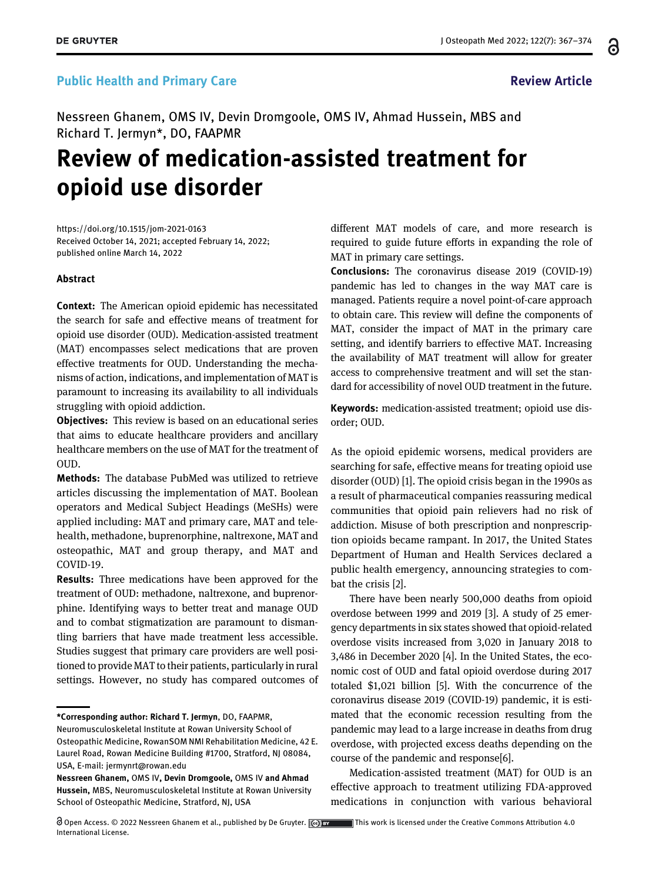## Public Health and Primary Care Review Article Review Article

Nessreen Ghanem, OMS IV, Devin Dromgoole, OMS IV, Ahmad Hussein, MBS and Richard T. Jermyn\*, DO, FAAPMR

# Review of medication-assisted treatment for opioid use disorder

<https://doi.org/10.1515/jom-2021-0163> Received October 14, 2021; accepted February 14, 2022; published online March 14, 2022

#### Abstract

Context: The American opioid epidemic has necessitated the search for safe and effective means of treatment for opioid use disorder (OUD). Medication-assisted treatment (MAT) encompasses select medications that are proven effective treatments for OUD. Understanding the mechanisms of action, indications, and implementation of MAT is paramount to increasing its availability to all individuals struggling with opioid addiction.

**Objectives:** This review is based on an educational series that aims to educate healthcare providers and ancillary healthcare members on the use of MAT for the treatment of OUD.

Methods: The database PubMed was utilized to retrieve articles discussing the implementation of MAT. Boolean operators and Medical Subject Headings (MeSHs) were applied including: MAT and primary care, MAT and telehealth, methadone, buprenorphine, naltrexone, MAT and osteopathic, MAT and group therapy, and MAT and COVID-19.

Results: Three medications have been approved for the treatment of OUD: methadone, naltrexone, and buprenorphine. Identifying ways to better treat and manage OUD and to combat stigmatization are paramount to dismantling barriers that have made treatment less accessible. Studies suggest that primary care providers are well positioned to provide MAT to their patients, particularly in rural settings. However, no study has compared outcomes of

\*Corresponding author: Richard T. Jermyn, DO, FAAPMR,

Open Access. © 2022 Nessreen Ghanem et al., published by De Gruyter.  $\phi$  are all this work is licensed under the Creative Commons Attribution 4.0 International License.

different MAT models of care, and more research is required to guide future efforts in expanding the role of MAT in primary care settings.

Conclusions: The coronavirus disease 2019 (COVID-19) pandemic has led to changes in the way MAT care is managed. Patients require a novel point-of-care approach to obtain care. This review will define the components of MAT, consider the impact of MAT in the primary care setting, and identify barriers to effective MAT. Increasing the availability of MAT treatment will allow for greater access to comprehensive treatment and will set the standard for accessibility of novel OUD treatment in the future.

Keywords: medication-assisted treatment; opioid use disorder; OUD.

As the opioid epidemic worsens, medical providers are searching for safe, effective means for treating opioid use disorder (OUD) [\[1](#page-5-0)]. The opioid crisis began in the 1990s as a result of pharmaceutical companies reassuring medical communities that opioid pain relievers had no risk of addiction. Misuse of both prescription and nonprescription opioids became rampant. In 2017, the United States Department of Human and Health Services declared a public health emergency, announcing strategies to combat the crisis [[2](#page-5-1)].

There have been nearly 500,000 deaths from opioid overdose between 1999 and 2019 [\[3\]](#page-5-2). A study of 25 emergency departments in six states showed that opioid-related overdose visits increased from 3,020 in January 2018 to 3,486 in December 2020 [\[4](#page-5-3)]. In the United States, the economic cost of OUD and fatal opioid overdose during 2017 totaled \$1,021 billion [\[5\]](#page-5-4). With the concurrence of the coronavirus disease 2019 (COVID-19) pandemic, it is estimated that the economic recession resulting from the pandemic may lead to a large increase in deaths from drug overdose, with projected excess deaths depending on the course of the pandemic and response[\[6](#page-5-5)].

Medication-assisted treatment (MAT) for OUD is an effective approach to treatment utilizing FDA-approved medications in conjunction with various behavioral ႕

Neuromusculoskeletal Institute at Rowan University School of Osteopathic Medicine, RowanSOM NMI Rehabilitation Medicine, 42 E. Laurel Road, Rowan Medicine Building #1700, Stratford, NJ 08084, USA, E-mail: [jermynrt@rowan.edu](mailto:jermynrt@rowan.edu)

Nessreen Ghanem, OMS IV, Devin Dromgoole, OMS IV and Ahmad Hussein, MBS, Neuromusculoskeletal Institute at Rowan University School of Osteopathic Medicine, Stratford, NJ, USA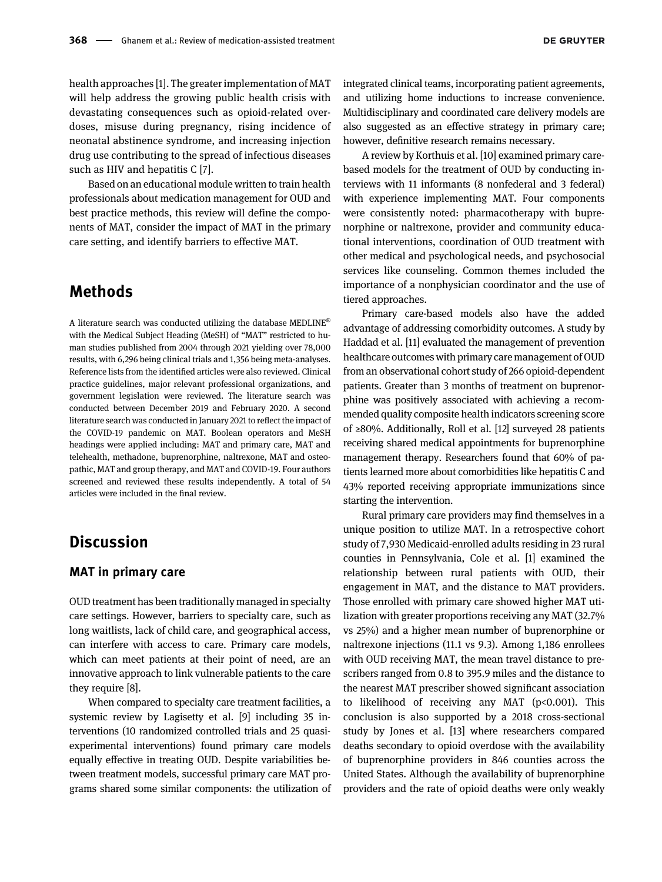**DE GRUYTER** 

health approaches [[1\]](#page-5-0). The greater implementation of MAT will help address the growing public health crisis with devastating consequences such as opioid-related overdoses, misuse during pregnancy, rising incidence of neonatal abstinence syndrome, and increasing injection drug use contributing to the spread of infectious diseases such as HIV and hepatitis C [\[7\]](#page-5-6).

Based on an educational module written to train health professionals about medication management for OUD and best practice methods, this review will define the components of MAT, consider the impact of MAT in the primary care setting, and identify barriers to effective MAT.

## Methods

A literature search was conducted utilizing the database MEDLINE<sup>®</sup> with the Medical Subject Heading (MeSH) of "MAT" restricted to human studies published from 2004 through 2021 yielding over 78,000 results, with 6,296 being clinical trials and 1,356 being meta-analyses. Reference lists from the identified articles were also reviewed. Clinical practice guidelines, major relevant professional organizations, and government legislation were reviewed. The literature search was conducted between December 2019 and February 2020. A second literature search was conducted in January 2021 to reflect the impact of the COVID-19 pandemic on MAT. Boolean operators and MeSH headings were applied including: MAT and primary care, MAT and telehealth, methadone, buprenorphine, naltrexone, MAT and osteopathic, MAT and group therapy, and MAT and COVID-19. Four authors screened and reviewed these results independently. A total of 54 articles were included in the final review.

## **Discussion**

#### MAT in primary care

OUD treatment has been traditionally managed in specialty care settings. However, barriers to specialty care, such as long waitlists, lack of child care, and geographical access, can interfere with access to care. Primary care models, which can meet patients at their point of need, are an innovative approach to link vulnerable patients to the care they require [[8\]](#page-6-0).

When compared to specialty care treatment facilities, a systemic review by Lagisetty et al. [[9\]](#page-6-1) including 35 interventions (10 randomized controlled trials and 25 quasiexperimental interventions) found primary care models equally effective in treating OUD. Despite variabilities between treatment models, successful primary care MAT programs shared some similar components: the utilization of integrated clinical teams, incorporating patient agreements, and utilizing home inductions to increase convenience. Multidisciplinary and coordinated care delivery models are also suggested as an effective strategy in primary care; however, definitive research remains necessary.

A review by Korthuis et al. [[10](#page-6-2)] examined primary carebased models for the treatment of OUD by conducting interviews with 11 informants (8 nonfederal and 3 federal) with experience implementing MAT. Four components were consistently noted: pharmacotherapy with buprenorphine or naltrexone, provider and community educational interventions, coordination of OUD treatment with other medical and psychological needs, and psychosocial services like counseling. Common themes included the importance of a nonphysician coordinator and the use of tiered approaches.

Primary care-based models also have the added advantage of addressing comorbidity outcomes. A study by Haddad et al. [[11](#page-6-3)] evaluated the management of prevention healthcare outcomes with primary care management of OUD from an observational cohort study of 266 opioid-dependent patients. Greater than 3 months of treatment on buprenorphine was positively associated with achieving a recommended quality composite health indicators screening score of ≥80%. Additionally, Roll et al. [\[12\]](#page-6-4) surveyed 28 patients receiving shared medical appointments for buprenorphine management therapy. Researchers found that 60% of patients learned more about comorbidities like hepatitis C and 43% reported receiving appropriate immunizations since starting the intervention.

Rural primary care providers may find themselves in a unique position to utilize MAT. In a retrospective cohort study of 7,930 Medicaid-enrolled adults residing in 23 rural counties in Pennsylvania, Cole et al. [\[1](#page-5-0)] examined the relationship between rural patients with OUD, their engagement in MAT, and the distance to MAT providers. Those enrolled with primary care showed higher MAT utilization with greater proportions receiving any MAT (32.7% vs 25%) and a higher mean number of buprenorphine or naltrexone injections (11.1 vs 9.3). Among 1,186 enrollees with OUD receiving MAT, the mean travel distance to prescribers ranged from 0.8 to 395.9 miles and the distance to the nearest MAT prescriber showed significant association to likelihood of receiving any MAT ( $p<0.001$ ). This conclusion is also supported by a 2018 cross-sectional study by Jones et al. [\[13\]](#page-6-5) where researchers compared deaths secondary to opioid overdose with the availability of buprenorphine providers in 846 counties across the United States. Although the availability of buprenorphine providers and the rate of opioid deaths were only weakly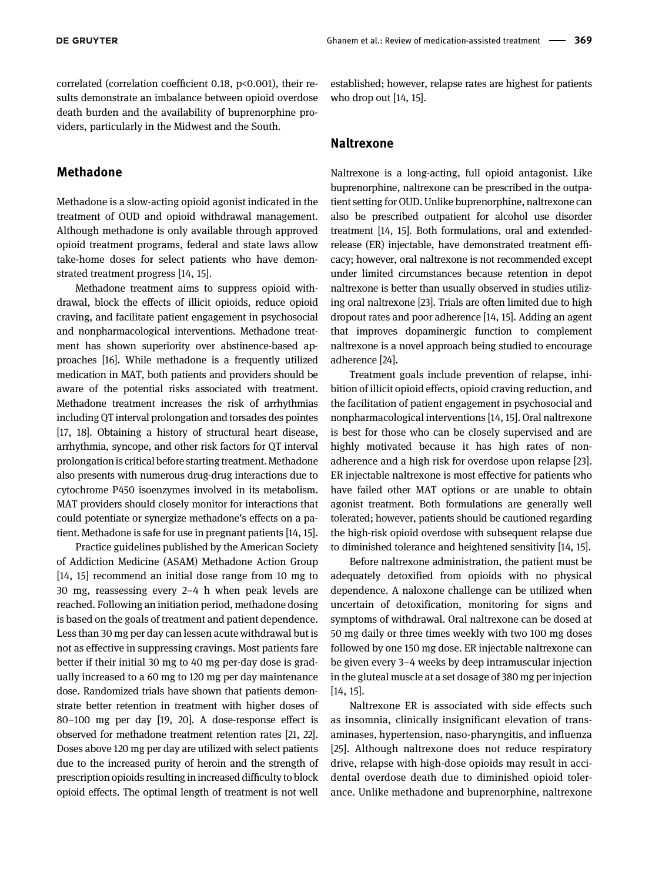correlated (correlation coefficient 0.18, p<0.001), their results demonstrate an imbalance between opioid overdose death burden and the availability of buprenorphine providers, particularly in the Midwest and the South.

#### Methadone

Methadone is a slow-acting opioid agonist indicated in the treatment of OUD and opioid withdrawal management. Although methadone is only available through approved opioid treatment programs, federal and state laws allow take-home doses for select patients who have demonstrated treatment progress [\[14,](#page-6-6) [15](#page-6-7)].

Methadone treatment aims to suppress opioid withdrawal, block the effects of illicit opioids, reduce opioid craving, and facilitate patient engagement in psychosocial and nonpharmacological interventions. Methadone treatment has shown superiority over abstinence-based approaches [\[16](#page-6-8)]. While methadone is a frequently utilized medication in MAT, both patients and providers should be aware of the potential risks associated with treatment. Methadone treatment increases the risk of arrhythmias including QT interval prolongation and torsades des pointes [[17,](#page-6-9) [18\]](#page-6-10). Obtaining a history of structural heart disease, arrhythmia, syncope, and other risk factors for QT interval prolongation is critical before starting treatment. Methadone also presents with numerous drug-drug interactions due to cytochrome P450 isoenzymes involved in its metabolism. MAT providers should closely monitor for interactions that could potentiate or synergize methadone's effects on a patient. Methadone is safe for use in pregnant patients [[14](#page-6-6), [15](#page-6-7)].

Practice guidelines published by the American Society of Addiction Medicine (ASAM) Methadone Action Group [[14,](#page-6-6) [15](#page-6-7)] recommend an initial dose range from 10 mg to 30 mg, reassessing every 2–4 h when peak levels are reached. Following an initiation period, methadone dosing is based on the goals of treatment and patient dependence. Less than 30 mg per day can lessen acute withdrawal but is not as effective in suppressing cravings. Most patients fare better if their initial 30 mg to 40 mg per-day dose is gradually increased to a 60 mg to 120 mg per day maintenance dose. Randomized trials have shown that patients demonstrate better retention in treatment with higher doses of 80–100 mg per day [\[19,](#page-6-11) [20\]](#page-6-12). A dose-response effect is observed for methadone treatment retention rates [\[21](#page-6-13), [22](#page-6-14)]. Doses above 120 mg per day are utilized with select patients due to the increased purity of heroin and the strength of prescription opioids resulting in increased difficulty to block opioid effects. The optimal length of treatment is not well

established; however, relapse rates are highest for patients who drop out [[14](#page-6-6), [15](#page-6-7)].

#### Naltrexone

Naltrexone is a long-acting, full opioid antagonist. Like buprenorphine, naltrexone can be prescribed in the outpatient setting for OUD. Unlike buprenorphine, naltrexone can also be prescribed outpatient for alcohol use disorder treatment [[14](#page-6-6), [15\]](#page-6-7). Both formulations, oral and extendedrelease (ER) injectable, have demonstrated treatment efficacy; however, oral naltrexone is not recommended except under limited circumstances because retention in depot naltrexone is better than usually observed in studies utilizing oral naltrexone [[23](#page-6-15)]. Trials are often limited due to high dropout rates and poor adherence [[14](#page-6-6), [15](#page-6-7)]. Adding an agent that improves dopaminergic function to complement naltrexone is a novel approach being studied to encourage adherence [\[24](#page-6-16)].

Treatment goals include prevention of relapse, inhibition of illicit opioid effects, opioid craving reduction, and the facilitation of patient engagement in psychosocial and nonpharmacological interventions [[14](#page-6-6), [15](#page-6-7)]. Oral naltrexone is best for those who can be closely supervised and are highly motivated because it has high rates of nonadherence and a high risk for overdose upon relapse [[23\]](#page-6-15). ER injectable naltrexone is most effective for patients who have failed other MAT options or are unable to obtain agonist treatment. Both formulations are generally well tolerated; however, patients should be cautioned regarding the high-risk opioid overdose with subsequent relapse due to diminished tolerance and heightened sensitivity [[14](#page-6-6), [15\]](#page-6-7).

Before naltrexone administration, the patient must be adequately detoxified from opioids with no physical dependence. A naloxone challenge can be utilized when uncertain of detoxification, monitoring for signs and symptoms of withdrawal. Oral naltrexone can be dosed at 50 mg daily or three times weekly with two 100 mg doses followed by one 150 mg dose. ER injectable naltrexone can be given every 3–4 weeks by deep intramuscular injection in the gluteal muscle at a set dosage of 380 mg per injection [\[14](#page-6-6), [15\]](#page-6-7).

Naltrexone ER is associated with side effects such as insomnia, clinically insignificant elevation of transaminases, hypertension, naso-pharyngitis, and influenza [\[25](#page-6-17)]. Although naltrexone does not reduce respiratory drive, relapse with high-dose opioids may result in accidental overdose death due to diminished opioid tolerance. Unlike methadone and buprenorphine, naltrexone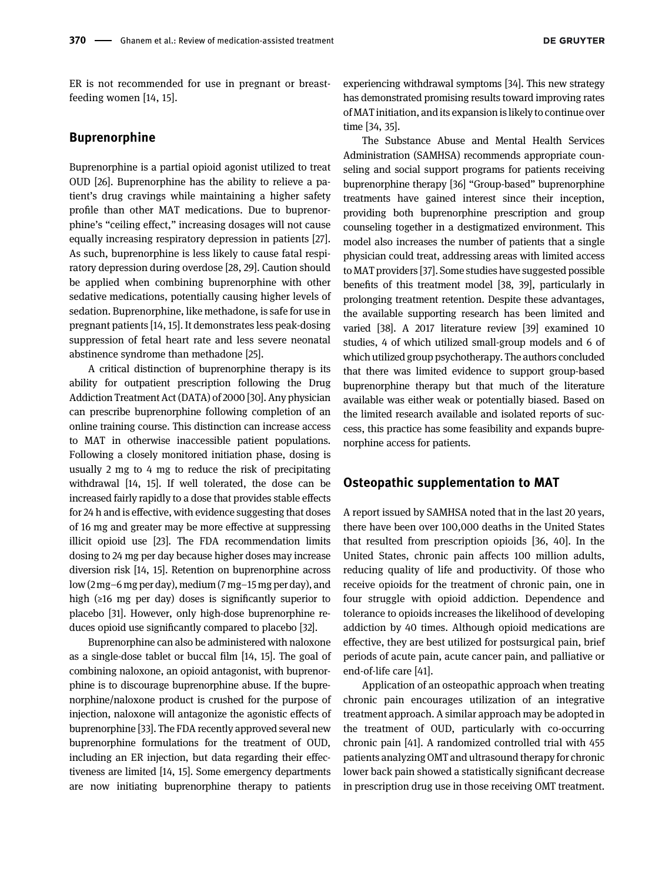ER is not recommended for use in pregnant or breastfeeding women [\[14](#page-6-6), [15](#page-6-7)].

#### **Buprenorphine**

Buprenorphine is a partial opioid agonist utilized to treat OUD [[26\]](#page-6-18). Buprenorphine has the ability to relieve a patient's drug cravings while maintaining a higher safety profile than other MAT medications. Due to buprenorphine's "ceiling effect," increasing dosages will not cause equally increasing respiratory depression in patients [[27](#page-6-19)]. As such, buprenorphine is less likely to cause fatal respiratory depression during overdose [\[28,](#page-6-20) [29\]](#page-6-21). Caution should be applied when combining buprenorphine with other sedative medications, potentially causing higher levels of sedation. Buprenorphine, like methadone, is safe for use in pregnant patients [[14,](#page-6-6) [15\]](#page-6-7). It demonstrates less peak-dosing suppression of fetal heart rate and less severe neonatal abstinence syndrome than methadone [[25](#page-6-17)].

A critical distinction of buprenorphine therapy is its ability for outpatient prescription following the Drug Addiction Treatment Act (DATA) of 2000 [[30\]](#page-6-22). Any physician can prescribe buprenorphine following completion of an online training course. This distinction can increase access to MAT in otherwise inaccessible patient populations. Following a closely monitored initiation phase, dosing is usually 2 mg to 4 mg to reduce the risk of precipitating withdrawal [\[14](#page-6-6), [15](#page-6-7)]. If well tolerated, the dose can be increased fairly rapidly to a dose that provides stable effects for 24 h and is effective, with evidence suggesting that doses of 16 mg and greater may be more effective at suppressing illicit opioid use [\[23\]](#page-6-15). The FDA recommendation limits dosing to 24 mg per day because higher doses may increase diversion risk [\[14,](#page-6-6) [15\]](#page-6-7). Retention on buprenorphine across low (2 mg–6 mg per day), medium (7 mg–15 mg per day), and high (≥16 mg per day) doses is significantly superior to placebo [\[31](#page-6-23)]. However, only high-dose buprenorphine reduces opioid use significantly compared to placebo [\[32\]](#page-6-24).

Buprenorphine can also be administered with naloxone as a single-dose tablet or buccal film [\[14,](#page-6-6) [15\]](#page-6-7). The goal of combining naloxone, an opioid antagonist, with buprenorphine is to discourage buprenorphine abuse. If the buprenorphine/naloxone product is crushed for the purpose of injection, naloxone will antagonize the agonistic effects of buprenorphine [[33](#page-6-25)]. The FDA recently approved several new buprenorphine formulations for the treatment of OUD, including an ER injection, but data regarding their effectiveness are limited [\[14,](#page-6-6) [15\]](#page-6-7). Some emergency departments are now initiating buprenorphine therapy to patients

experiencing withdrawal symptoms [[34](#page-6-26)]. This new strategy has demonstrated promising results toward improving rates of MAT initiation, and its expansion islikely to continue over time [[34](#page-6-26), [35\]](#page-6-27).

The Substance Abuse and Mental Health Services Administration (SAMHSA) recommends appropriate counseling and social support programs for patients receiving buprenorphine therapy [\[36\]](#page-6-28) "Group-based" buprenorphine treatments have gained interest since their inception, providing both buprenorphine prescription and group counseling together in a destigmatized environment. This model also increases the number of patients that a single physician could treat, addressing areas with limited access to MAT providers [\[37\]](#page-6-29). Some studies have suggested possible benefits of this treatment model [[38,](#page-6-30) [39](#page-6-31)], particularly in prolonging treatment retention. Despite these advantages, the available supporting research has been limited and varied [\[38](#page-6-30)]. A 2017 literature review [[39](#page-6-31)] examined 10 studies, 4 of which utilized small-group models and 6 of which utilized group psychotherapy. The authors concluded that there was limited evidence to support group-based buprenorphine therapy but that much of the literature available was either weak or potentially biased. Based on the limited research available and isolated reports of success, this practice has some feasibility and expands buprenorphine access for patients.

#### Osteopathic supplementation to MAT

A report issued by SAMHSA noted that in the last 20 years, there have been over 100,000 deaths in the United States that resulted from prescription opioids [\[36,](#page-6-28) [40\]](#page-6-32). In the United States, chronic pain affects 100 million adults, reducing quality of life and productivity. Of those who receive opioids for the treatment of chronic pain, one in four struggle with opioid addiction. Dependence and tolerance to opioids increases the likelihood of developing addiction by 40 times. Although opioid medications are effective, they are best utilized for postsurgical pain, brief periods of acute pain, acute cancer pain, and palliative or end-of-life care [[41\]](#page-6-33).

Application of an osteopathic approach when treating chronic pain encourages utilization of an integrative treatment approach. A similar approach may be adopted in the treatment of OUD, particularly with co-occurring chronic pain [[41\]](#page-6-33). A randomized controlled trial with 455 patients analyzing OMT and ultrasound therapy for chronic lower back pain showed a statistically significant decrease in prescription drug use in those receiving OMT treatment.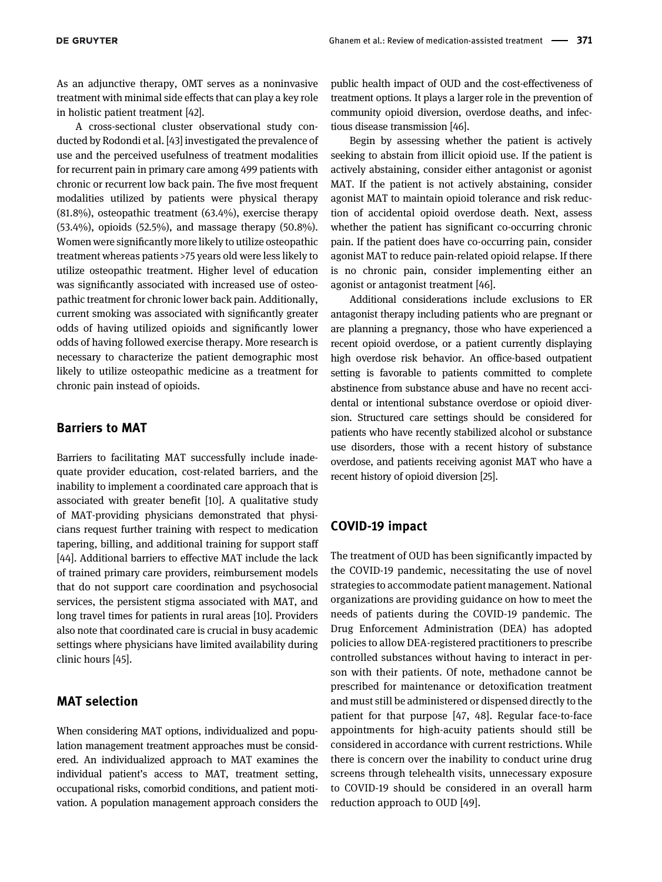As an adjunctive therapy, OMT serves as a noninvasive treatment with minimal side effects that can play a key role in holistic patient treatment [[42\]](#page-7-0).

A cross-sectional cluster observational study conducted by Rodondi et al. [\[43\]](#page-7-1) investigated the prevalence of use and the perceived usefulness of treatment modalities for recurrent pain in primary care among 499 patients with chronic or recurrent low back pain. The five most frequent modalities utilized by patients were physical therapy (81.8%), osteopathic treatment (63.4%), exercise therapy (53.4%), opioids (52.5%), and massage therapy (50.8%). Women were significantly more likely to utilize osteopathic treatment whereas patients >75 years old were less likely to utilize osteopathic treatment. Higher level of education was significantly associated with increased use of osteopathic treatment for chronic lower back pain. Additionally, current smoking was associated with significantly greater odds of having utilized opioids and significantly lower odds of having followed exercise therapy. More research is necessary to characterize the patient demographic most likely to utilize osteopathic medicine as a treatment for chronic pain instead of opioids.

#### Barriers to MAT

Barriers to facilitating MAT successfully include inadequate provider education, cost-related barriers, and the inability to implement a coordinated care approach that is associated with greater benefit [\[10\]](#page-6-2). A qualitative study of MAT-providing physicians demonstrated that physicians request further training with respect to medication tapering, billing, and additional training for support staff [[44\]](#page-7-2). Additional barriers to effective MAT include the lack of trained primary care providers, reimbursement models that do not support care coordination and psychosocial services, the persistent stigma associated with MAT, and long travel times for patients in rural areas [[10\]](#page-6-2). Providers also note that coordinated care is crucial in busy academic settings where physicians have limited availability during clinic hours [\[45\]](#page-7-3).

### MAT selection

When considering MAT options, individualized and population management treatment approaches must be considered. An individualized approach to MAT examines the individual patient's access to MAT, treatment setting, occupational risks, comorbid conditions, and patient motivation. A population management approach considers the public health impact of OUD and the cost-effectiveness of treatment options. It plays a larger role in the prevention of community opioid diversion, overdose deaths, and infectious disease transmission [[46](#page-7-4)].

Begin by assessing whether the patient is actively seeking to abstain from illicit opioid use. If the patient is actively abstaining, consider either antagonist or agonist MAT. If the patient is not actively abstaining, consider agonist MAT to maintain opioid tolerance and risk reduction of accidental opioid overdose death. Next, assess whether the patient has significant co-occurring chronic pain. If the patient does have co-occurring pain, consider agonist MAT to reduce pain-related opioid relapse. If there is no chronic pain, consider implementing either an agonist or antagonist treatment [[46\]](#page-7-4).

Additional considerations include exclusions to ER antagonist therapy including patients who are pregnant or are planning a pregnancy, those who have experienced a recent opioid overdose, or a patient currently displaying high overdose risk behavior. An office-based outpatient setting is favorable to patients committed to complete abstinence from substance abuse and have no recent accidental or intentional substance overdose or opioid diversion. Structured care settings should be considered for patients who have recently stabilized alcohol or substance use disorders, those with a recent history of substance overdose, and patients receiving agonist MAT who have a recent history of opioid diversion [[25](#page-6-17)].

#### COVID-19 impact

The treatment of OUD has been significantly impacted by the COVID-19 pandemic, necessitating the use of novel strategies to accommodate patient management. National organizations are providing guidance on how to meet the needs of patients during the COVID-19 pandemic. The Drug Enforcement Administration (DEA) has adopted policies to allow DEA-registered practitioners to prescribe controlled substances without having to interact in person with their patients. Of note, methadone cannot be prescribed for maintenance or detoxification treatment and must still be administered or dispensed directly to the patient for that purpose [\[47,](#page-7-5) [48\]](#page-7-6). Regular face-to-face appointments for high-acuity patients should still be considered in accordance with current restrictions. While there is concern over the inability to conduct urine drug screens through telehealth visits, unnecessary exposure to COVID-19 should be considered in an overall harm reduction approach to OUD [[49](#page-7-7)].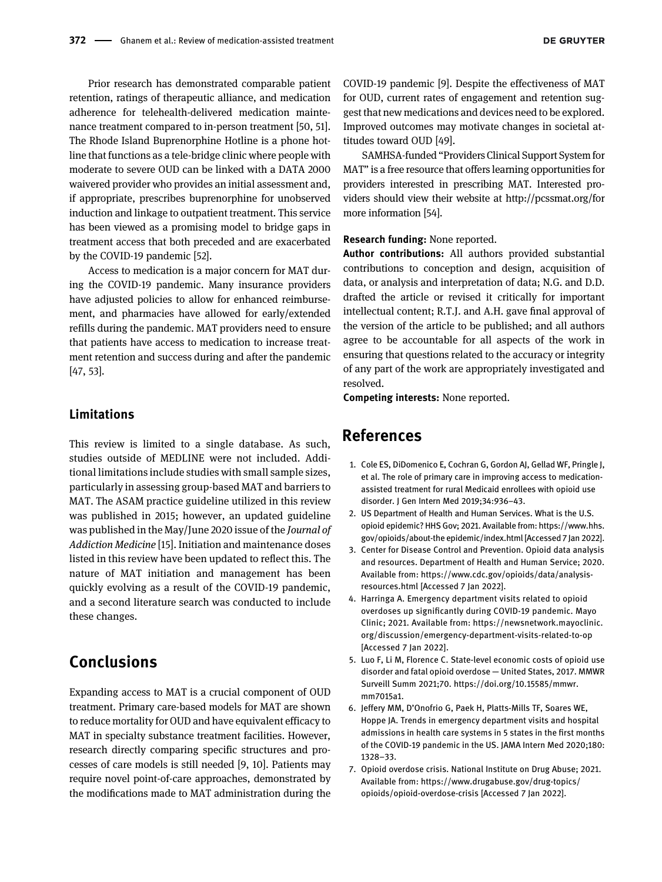Prior research has demonstrated comparable patient retention, ratings of therapeutic alliance, and medication adherence for telehealth-delivered medication maintenance treatment compared to in-person treatment [\[50](#page-7-8), [51](#page-7-9)]. The Rhode Island Buprenorphine Hotline is a phone hotline that functions as a tele-bridge clinic where people with moderate to severe OUD can be linked with a DATA 2000 waivered provider who provides an initial assessment and, if appropriate, prescribes buprenorphine for unobserved induction and linkage to outpatient treatment. This service has been viewed as a promising model to bridge gaps in treatment access that both preceded and are exacerbated by the COVID-19 pandemic [[52](#page-7-10)].

Access to medication is a major concern for MAT during the COVID-19 pandemic. Many insurance providers have adjusted policies to allow for enhanced reimbursement, and pharmacies have allowed for early/extended refills during the pandemic. MAT providers need to ensure that patients have access to medication to increase treatment retention and success during and after the pandemic [\[47,](#page-7-5) [53\]](#page-7-11).

#### Limitations

This review is limited to a single database. As such, studies outside of MEDLINE were not included. Additional limitations include studies with small sample sizes, particularly in assessing group-based MAT and barriers to MAT. The ASAM practice guideline utilized in this review was published in 2015; however, an updated guideline was published in the May/June 2020 issue of the Journal of Addiction Medicine [[15](#page-6-7)]. Initiation and maintenance doses listed in this review have been updated to reflect this. The nature of MAT initiation and management has been quickly evolving as a result of the COVID-19 pandemic, and a second literature search was conducted to include these changes.

# Conclusions

Expanding access to MAT is a crucial component of OUD treatment. Primary care-based models for MAT are shown to reduce mortality for OUD and have equivalent efficacy to MAT in specialty substance treatment facilities. However, research directly comparing specific structures and processes of care models is still needed [[9,](#page-6-1) [10](#page-6-2)]. Patients may require novel point-of-care approaches, demonstrated by the modifications made to MAT administration during the

COVID-19 pandemic [[9\]](#page-6-1). Despite the effectiveness of MAT for OUD, current rates of engagement and retention suggest that new medications and devices need to be explored. Improved outcomes may motivate changes in societal attitudes toward OUD [\[49](#page-7-7)].

SAMHSA-funded "Providers Clinical Support System for MAT" is a free resource that offers learning opportunities for providers interested in prescribing MAT. Interested providers should view their website at<http://pcssmat.org/>for more information [[54](#page-7-12)].

#### Research funding: None reported.

Author contributions: All authors provided substantial contributions to conception and design, acquisition of data, or analysis and interpretation of data; N.G. and D.D. drafted the article or revised it critically for important intellectual content; R.T.J. and A.H. gave final approval of the version of the article to be published; and all authors agree to be accountable for all aspects of the work in ensuring that questions related to the accuracy or integrity of any part of the work are appropriately investigated and resolved.

Competing interests: None reported.

## References

- <span id="page-5-0"></span>1. Cole ES, DiDomenico E, Cochran G, Gordon AJ, Gellad WF, Pringle J, et al. The role of primary care in improving access to medicationassisted treatment for rural Medicaid enrollees with opioid use disorder. J Gen Intern Med 2019;34:936–43.
- <span id="page-5-1"></span>2. US Department of Health and Human Services. What is the U.S. opioid epidemic? HHS Gov; 2021. Available from: [https://www.hhs.](https://www.hhs.gov/opioids/about-the%20epidemic/index.html) [gov/opioids/about-the epidemic/index.html](https://www.hhs.gov/opioids/about-the%20epidemic/index.html) [Accessed 7 Jan 2022].
- <span id="page-5-2"></span>3. Center for Disease Control and Prevention. Opioid data analysis and resources. Department of Health and Human Service; 2020. Available from: [https://www.cdc.gov/opioids/data/analysis](https://www.cdc.gov/opioids/data/analysis-resources.html)[resources.html](https://www.cdc.gov/opioids/data/analysis-resources.html) [Accessed 7 Jan 2022].
- <span id="page-5-3"></span>4. Harringa A. Emergency department visits related to opioid overdoses up significantly during COVID-19 pandemic. Mayo Clinic; 2021. Available from: [https://newsnetwork.mayoclinic.](https://newsnetwork.mayoclinic.org/discussion/emergency-department-visits-related-to-op) [org/discussion/emergency-department-visits-related-to-op](https://newsnetwork.mayoclinic.org/discussion/emergency-department-visits-related-to-op) [Accessed 7 Jan 2022].
- <span id="page-5-4"></span>5. Luo F, Li M, Florence C. State-level economic costs of opioid use disorder and fatal opioid overdose — United States, 2017. MMWR Surveill Summ 2021;70. [https://doi.org/10.15585/mmwr.](https://doi.org/10.15585/mmwr.mm7015a1) [mm7015a1](https://doi.org/10.15585/mmwr.mm7015a1).
- <span id="page-5-5"></span>6. Jeffery MM, D'Onofrio G, Paek H, Platts-Mills TF, Soares WE, Hoppe JA. Trends in emergency department visits and hospital admissions in health care systems in 5 states in the first months of the COVID-19 pandemic in the US. JAMA Intern Med 2020;180: 1328–33.
- <span id="page-5-6"></span>7. Opioid overdose crisis. National Institute on Drug Abuse; 2021. Available from: [https://www.drugabuse.gov/drug-topics/](https://www.drugabuse.gov/drug-topics/opioids/opioid-overdose-crisis) [opioids/opioid-overdose-crisis](https://www.drugabuse.gov/drug-topics/opioids/opioid-overdose-crisis) [Accessed 7 Jan 2022].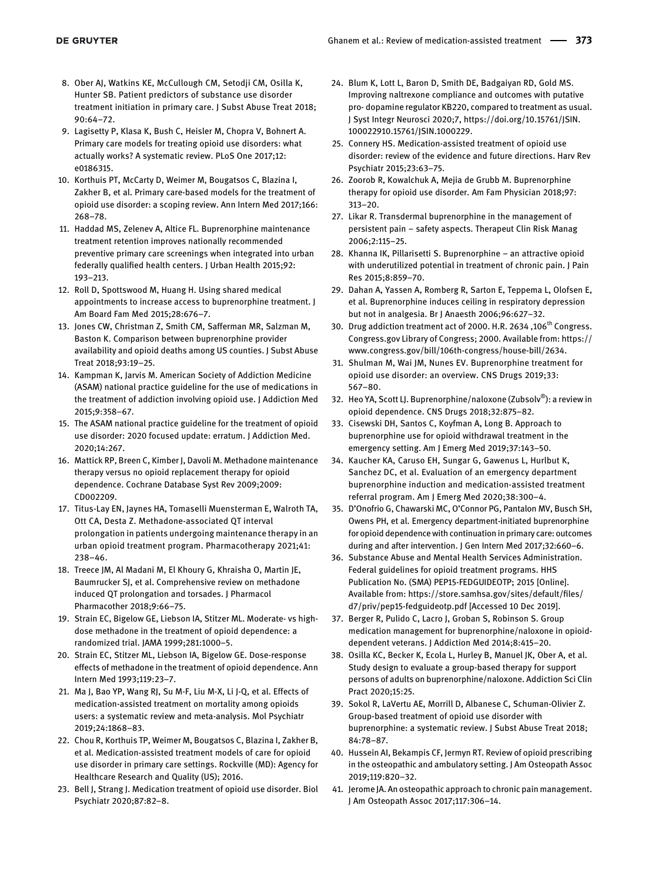- <span id="page-6-0"></span>8. Ober AJ, Watkins KE, McCullough CM, Setodji CM, Osilla K, Hunter SB. Patient predictors of substance use disorder treatment initiation in primary care. J Subst Abuse Treat 2018; 90:64–72.
- <span id="page-6-1"></span>9. Lagisetty P, Klasa K, Bush C, Heisler M, Chopra V, Bohnert A. Primary care models for treating opioid use disorders: what actually works? A systematic review. PLoS One 2017;12: e0186315.
- <span id="page-6-2"></span>10. Korthuis PT, McCarty D, Weimer M, Bougatsos C, Blazina I, Zakher B, et al. Primary care-based models for the treatment of opioid use disorder: a scoping review. Ann Intern Med 2017;166: 268–78.
- <span id="page-6-3"></span>11. Haddad MS, Zelenev A, Altice FL. Buprenorphine maintenance treatment retention improves nationally recommended preventive primary care screenings when integrated into urban federally qualified health centers. J Urban Health 2015;92: 193–213.
- <span id="page-6-4"></span>12. Roll D, Spottswood M, Huang H. Using shared medical appointments to increase access to buprenorphine treatment. J Am Board Fam Med 2015;28:676–7.
- <span id="page-6-5"></span>13. Jones CW, Christman Z, Smith CM, Safferman MR, Salzman M, Baston K. Comparison between buprenorphine provider availability and opioid deaths among US counties. J Subst Abuse Treat 2018;93:19–25.
- <span id="page-6-6"></span>14. Kampman K, Jarvis M. American Society of Addiction Medicine (ASAM) national practice guideline for the use of medications in the treatment of addiction involving opioid use. J Addiction Med 2015;9:358–67.
- <span id="page-6-7"></span>15. The ASAM national practice guideline for the treatment of opioid use disorder: 2020 focused update: erratum. J Addiction Med. 2020;14:267.
- <span id="page-6-8"></span>16. Mattick RP, Breen C, Kimber J, Davoli M. Methadone maintenance therapy versus no opioid replacement therapy for opioid dependence. Cochrane Database Syst Rev 2009;2009: CD002209.
- <span id="page-6-9"></span>17. Titus-Lay EN, Jaynes HA, Tomaselli Muensterman E, Walroth TA, Ott CA, Desta Z. Methadone-associated QT interval prolongation in patients undergoing maintenance therapy in an urban opioid treatment program. Pharmacotherapy 2021;41: 238–46.
- <span id="page-6-10"></span>18. Treece JM, Al Madani M, El Khoury G, Khraisha O, Martin JE, Baumrucker SJ, et al. Comprehensive review on methadone induced QT prolongation and torsades. J Pharmacol Pharmacother 2018;9:66–75.
- <span id="page-6-11"></span>19. Strain EC, Bigelow GE, Liebson IA, Stitzer ML. Moderate- vs highdose methadone in the treatment of opioid dependence: a randomized trial. JAMA 1999;281:1000–5.
- <span id="page-6-12"></span>20. Strain EC, Stitzer ML, Liebson IA, Bigelow GE. Dose-response effects of methadone in the treatment of opioid dependence. Ann Intern Med 1993;119:23–7.
- <span id="page-6-13"></span>21. Ma J, Bao YP, Wang RJ, Su M-F, Liu M-X, Li J-Q, et al. Effects of medication-assisted treatment on mortality among opioids users: a systematic review and meta-analysis. Mol Psychiatr 2019;24:1868–83.
- <span id="page-6-14"></span>22. Chou R, Korthuis TP, Weimer M, Bougatsos C, Blazina I, Zakher B, et al. Medication-assisted treatment models of care for opioid use disorder in primary care settings. Rockville (MD): Agency for Healthcare Research and Quality (US); 2016.
- <span id="page-6-15"></span>23. Bell J, Strang J. Medication treatment of opioid use disorder. Biol Psychiatr 2020;87:82–8.
- <span id="page-6-16"></span>24. Blum K, Lott L, Baron D, Smith DE, Badgaiyan RD, Gold MS. Improving naltrexone compliance and outcomes with putative pro- dopamine regulator KB220, compared to treatment as usual. J Syst Integr Neurosci 2020;7, [https://doi.org/10.15761/JSIN.](https://doi.org/10.15761/JSIN.100022910.15761/JSIN.1000229) [100022910.15761/JSIN.1000229](https://doi.org/10.15761/JSIN.100022910.15761/JSIN.1000229).
- <span id="page-6-17"></span>25. Connery HS. Medication-assisted treatment of opioid use disorder: review of the evidence and future directions. Harv Rev Psychiatr 2015;23:63–75.
- <span id="page-6-18"></span>26. Zoorob R, Kowalchuk A, Mejia de Grubb M. Buprenorphine therapy for opioid use disorder. Am Fam Physician 2018;97: 313–20.
- <span id="page-6-19"></span>27. Likar R. Transdermal buprenorphine in the management of persistent pain – safety aspects. Therapeut Clin Risk Manag 2006;2:115–25.
- <span id="page-6-20"></span>28. Khanna IK, Pillarisetti S. Buprenorphine – an attractive opioid with underutilized potential in treatment of chronic pain. I Pain Res 2015;8:859–70.
- <span id="page-6-21"></span>29. Dahan A, Yassen A, Romberg R, Sarton E, Teppema L, Olofsen E, et al. Buprenorphine induces ceiling in respiratory depression but not in analgesia. Br J Anaesth 2006;96:627–32.
- <span id="page-6-22"></span>30. Drug addiction treatment act of 2000. H.R. 2634, 106<sup>th</sup> Congress. Congress.gov Library of Congress; 2000. Available from: [https://](https://www.congress.gov/bill/106th-congress/house-bill/2634) [www.congress.gov/bill/106th-congress/house-bill/2634](https://www.congress.gov/bill/106th-congress/house-bill/2634).
- <span id="page-6-23"></span>31. Shulman M, Wai JM, Nunes EV. Buprenorphine treatment for opioid use disorder: an overview. CNS Drugs 2019;33: 567–80.
- <span id="page-6-24"></span>32. Heo YA, Scott LJ. Buprenorphine/naloxone (Zubsolv®): a review in opioid dependence. CNS Drugs 2018;32:875–82.
- <span id="page-6-25"></span>33. Cisewski DH, Santos C, Koyfman A, Long B. Approach to buprenorphine use for opioid withdrawal treatment in the emergency setting. Am J Emerg Med 2019;37:143–50.
- <span id="page-6-26"></span>34. Kaucher KA, Caruso EH, Sungar G, Gawenus L, Hurlbut K, Sanchez DC, et al. Evaluation of an emergency department buprenorphine induction and medication-assisted treatment referral program. Am J Emerg Med 2020;38:300–4.
- <span id="page-6-27"></span>35. D'Onofrio G, Chawarski MC, O'Connor PG, Pantalon MV, Busch SH, Owens PH, et al. Emergency department-initiated buprenorphine for opioid dependence with continuation in primary care: outcomes during and after intervention. J Gen Intern Med 2017;32:660–6.
- <span id="page-6-28"></span>36. Substance Abuse and Mental Health Services Administration. Federal guidelines for opioid treatment programs. HHS Publication No. (SMA) PEP15-FEDGUIDEOTP; 2015 [Online]. Available from: [https://store.samhsa.gov/sites/default/](https://store.samhsa.gov/sites/default/files/d7/priv/pep15-fedguideotp.pdf)files/ [d7/priv/pep15-fedguideotp.pdf](https://store.samhsa.gov/sites/default/files/d7/priv/pep15-fedguideotp.pdf) [Accessed 10 Dec 2019].
- <span id="page-6-29"></span>37. Berger R, Pulido C, Lacro J, Groban S, Robinson S. Group medication management for buprenorphine/naloxone in opioiddependent veterans. J Addiction Med 2014;8:415–20.
- <span id="page-6-30"></span>38. Osilla KC, Becker K, Ecola L, Hurley B, Manuel JK, Ober A, et al. Study design to evaluate a group-based therapy for support persons of adults on buprenorphine/naloxone. Addiction Sci Clin Pract 2020;15:25.
- <span id="page-6-31"></span>39. Sokol R, LaVertu AE, Morrill D, Albanese C, Schuman-Olivier Z. Group-based treatment of opioid use disorder with buprenorphine: a systematic review. J Subst Abuse Treat 2018; 84:78–87.
- <span id="page-6-32"></span>40. Hussein AI, Bekampis CF, Jermyn RT. Review of opioid prescribing in the osteopathic and ambulatory setting. J Am Osteopath Assoc 2019;119:820–32.
- <span id="page-6-33"></span>41. Jerome JA. An osteopathic approach to chronic pain management. J Am Osteopath Assoc 2017;117:306–14.